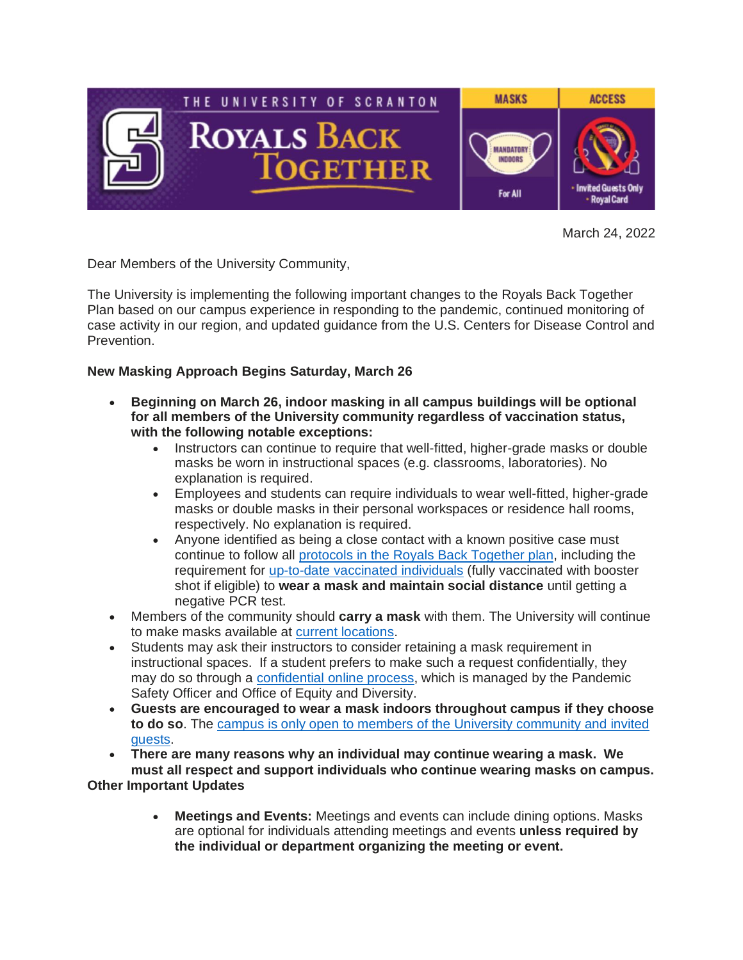

March 24, 2022

Dear Members of the University Community,

The University is implementing the following important changes to the Royals Back Together Plan based on our campus experience in responding to the pandemic, continued monitoring of case activity in our region, and updated guidance from the U.S. Centers for Disease Control and Prevention.

## **New Masking Approach Begins Saturday, March 26**

- **Beginning on March 26, indoor masking in all campus buildings will be optional for all members of the University community regardless of vaccination status, with the following notable exceptions:**
	- Instructors can continue to require that well-fitted, higher-grade masks or double masks be worn in instructional spaces (e.g. classrooms, laboratories). No explanation is required.
	- Employees and students can require individuals to wear well-fitted, higher-grade masks or double masks in their personal workspaces or residence hall rooms, respectively. No explanation is required.
	- Anyone identified as being a close contact with a known positive case must continue to follow all [protocols](https://www.scranton.edu/royals-safe-together/quarantine-and-isolation.shtml) in the Royals Back Together plan, including the requirement for up-to-date [vaccinated](https://nam10.safelinks.protection.outlook.com/?url=https%3A%2F%2Fwww.cdc.gov%2Fcoronavirus%2F2019-ncov%2Fvaccines%2Fstay-up-to-date.html&data=04%7C01%7Ckristin.durkin%40scranton.edu%7C20ccd4b23ce9486ec85e08da0de80500%7Ca8edc49a41f14c699768a7f6d7c3b8c3%7C0%7C0%7C637837587415806771%7CUnknown%7CTWFpbGZsb3d8eyJWIjoiMC4wLjAwMDAiLCJQIjoiV2luMzIiLCJBTiI6Ik1haWwiLCJXVCI6Mn0%3D%7C3000&sdata=Waf88aET4O9vrY0KHO4ULG44B4ytpb37zCV1sGNdyUQ%3D&reserved=0) individuals (fully vaccinated with booster shot if eligible) to **wear a mask and maintain social distance** until getting a negative PCR test.
- Members of the community should **carry a mask** with them. The University will continue to make masks available at current [locations.](https://www.scranton.edu/royals-safe-together/masks.shtml)
- Students may ask their instructors to consider retaining a mask requirement in instructional spaces. If a student prefers to make such a request confidentially, they may do so through a [confidential](https://nam10.safelinks.protection.outlook.com/?url=https%3A%2F%2Fforms.office.com%2Fr%2FBUw9NMwDN2&data=04%7C01%7Ckristin.durkin%40scranton.edu%7C20ccd4b23ce9486ec85e08da0de80500%7Ca8edc49a41f14c699768a7f6d7c3b8c3%7C0%7C0%7C637837587415806771%7CUnknown%7CTWFpbGZsb3d8eyJWIjoiMC4wLjAwMDAiLCJQIjoiV2luMzIiLCJBTiI6Ik1haWwiLCJXVCI6Mn0%3D%7C3000&sdata=dcoUvrJYvxGw%2FuxO3tXcR7rze1zQV02GtkN4v8RS19E%3D&reserved=0) online process, which is managed by the Pandemic Safety Officer and Office of Equity and Diversity.
- **Guests are encouraged to wear a mask indoors throughout campus if they choose to do so**. The campus is only open to members of the University [community](https://www.scranton.edu/royals-safe-together/public-access.shtml) and invited [guests.](https://www.scranton.edu/royals-safe-together/public-access.shtml)

• **There are many reasons why an individual may continue wearing a mask. We must all respect and support individuals who continue wearing masks on campus.**

**Other Important Updates**

• **Meetings and Events:** Meetings and events can include dining options. Masks are optional for individuals attending meetings and events **unless required by the individual or department organizing the meeting or event.**